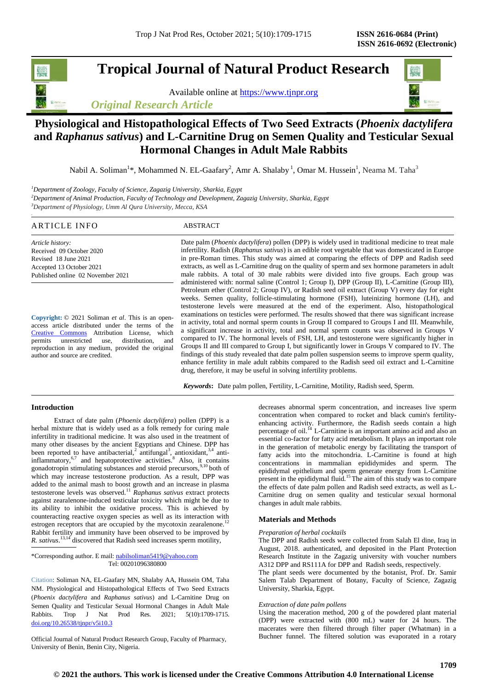# **Tropical Journal of Natural Product Research**

Available online at [https://www.tjnpr.org](https://www.tjnpr.org/) *Original Research Article*

# **Physiological and Histopathological Effects of Two Seed Extracts (***Phoenix dactylifera*  **and** *Raphanus sativus***) and L-Carnitine Drug on Semen Quality and Testicular Sexual Hormonal Changes in Adult Male Rabbits**

Nabil A. Soliman $^{1*}$ , Mohammed N. EL-Gaafary $^{2}$ , Amr A. Shalaby  $^{1}$ , Omar M. Hussein $^{1}$ , Neama M. Taha $^{3}$ 

*<sup>1</sup>Department of Zoology, Faculty of Science, Zagazig University, Sharkia, Egypt*

*<sup>2</sup>Department of Animal Production, Faculty of Technology and Development, Zagazig University, Sharkia, Egypt*

*<sup>3</sup>Department of Physiology, Umm Al Qura University, Mecca, KSA*

| ARTICLE INFO                                                                                                                          | ABSTRACT                                                                                                                                                                                                                                                                                                                                                                                                                                                                                                    |
|---------------------------------------------------------------------------------------------------------------------------------------|-------------------------------------------------------------------------------------------------------------------------------------------------------------------------------------------------------------------------------------------------------------------------------------------------------------------------------------------------------------------------------------------------------------------------------------------------------------------------------------------------------------|
| Article history:<br>Received 09 October 2020<br>Revised 18 June 2021<br>Accepted 13 October 2021<br>Published online 02 November 2021 | Date palm ( <i>Phoenix dactylifera</i> ) pollen (DPP) is widely used in traditional medicine to treat male<br>infertility. Radish (Raphanus sativus) is an edible root vegetable that was domesticated in Europe<br>in pre-Roman times. This study was aimed at comparing the effects of DPP and Radish seed<br>extracts, as well as L-Carnitine drug on the quality of sperm and sex hormone parameters in adult<br>male rabbits. A total of 30 male rabbits were divided into five groups. Each group was |
| $\sim$<br>$\cdots$ $\alpha$ $\alpha$                                                                                                  | administered with: normal saline (Control 1; Group I), DPP (Group II), L-Carnitine (Group III),<br>Petroleum ether (Control 2; Group IV), or Radish seed oil extract (Group V) every day for eight<br>weeks. Semen quality, follicle-stimulating hormone (FSH), luteinizing hormone (LH), and<br>testosterone levels were measured at the end of the experiment. Also, histopathological<br>examinations on testicles were performed. The results showed that there was significant increase                |

**Copyright:** © 2021 Soliman *et al*. This is an openaccess article distributed under the terms of the [Creative Commons](https://creativecommons.org/licenses/by/4.0/) Attribution License, which permits unrestricted use, distribution, and reproduction in any medium, provided the original author and source are credited.

examinations on testicles were performed. The results showed that there was significant increase in activity, total and normal sperm counts in Group II compared to Groups I and III. Meanwhile, a significant increase in activity, total and normal sperm counts was observed in Groups V compared to IV. The hormonal levels of FSH, LH, and testosterone were significantly higher in Groups II and III compared to Group I, but significantly lower in Groups V compared to IV. The findings of this study revealed that date palm pollen suspension seems to improve sperm quality, enhance fertility in male adult rabbits compared to the Radish seed oil extract and L-Carnitine drug, therefore, it may be useful in solving infertility problems.

*Keywords***:** Date palm pollen, Fertility, L-Carnitine, Motility, Radish seed, Sperm.

# **Introduction**

 Extract of date palm (*Phoenix dactylifera*) pollen (DPP) is a herbal mixture that is widely used as a folk remedy for curing male infertility in traditional medicine. It was also used in the treatment of many other diseases by the ancient Egyptians and Chinese. DPP has been reported to have antibacterial,<sup>2</sup> antifungal<sup>3</sup>, antioxidant,<sup>3,4</sup> antiinflammatory, $6,7$  and hepatoprotective activities.<sup>8</sup> Also, it contains gonadotropin stimulating substances and steroid precursors,<sup>9,10</sup> both of which may increase testosterone production. As a result, DPP was added to the animal mash to boost growth and an increase in plasma testosterone levels was observed.<sup>11</sup> *Raphanus sativus* extract protects against zearalenone-induced testicular toxicity which might be due to its ability to inhibit the oxidative process. This is achieved by counteracting reactive oxygen species as well as its interaction with estrogen receptors that are occupied by the mycotoxin zearalenone. Rabbit fertility and immunity have been observed to be improved by *R. sativus*. 13,14 discovered that Radish seed increases sperm motility,

\*Corresponding author. E mail[: nabilsoliman5419@yahoo.com](mailto:nabilsoliman5419@yahoo.com) Tel: 00201096380800

Citation: Soliman NA, EL-Gaafary MN, Shalaby AA, Hussein OM, Taha NM. Physiological and Histopathological Effects of Two Seed Extracts (*Phoenix dactylifera* and *Raphanus sativus*) and L-Carnitine Drug on Semen Quality and Testicular Sexual Hormonal Changes in Adult Male Rabbits. Trop J Nat Prod Res. 2021; 5(10):1709-1715. [doi.org/10.26538/tjnpr/v5i10.3](http://www.doi.org/10.26538/tjnpr/v1i4.5)

Official Journal of Natural Product Research Group, Faculty of Pharmacy, University of Benin, Benin City, Nigeria.

decreases abnormal sperm concentration, and increases live sperm concentration when compared to rocket and black cumin's fertilityenhancing activity. Furthermore, the Radish seeds contain a high percentage of oil.<sup>14</sup> L-Carnitine is an important amino acid and also an essential co-factor for fatty acid metabolism. It plays an important role in the generation of metabolic energy by facilitating the transport of fatty acids into the mitochondria. L-Carnitine is found at high concentrations in mammalian epididymides and sperm. The epididymal epithelium and sperm generate energy from L-Carnitine present in the epididymal fluid.<sup>15</sup> The aim of this study was to compare the effects of date palm pollen and Radish seed extracts, as well as L-Carnitine drug on semen quality and testicular sexual hormonal changes in adult male rabbits.

# **Materials and Methods**

#### *Preparation of herbal cocktails*

The DPP and Radish seeds were collected from Salah El dine, Iraq in August, 2018. authenticated, and deposited in the Plant Protection Research Institute in the Zagazig university with voucher numbers A312 DPP and RS111A for DPP and Radish seeds, respectively.

The plant seeds were documented by the botanist, Prof. Dr. Samir Salem Talab Department of Botany, Faculty of Science, Zagazig University, Sharkia, Egypt*.*

#### *Extraction of date palm pollens*

Using the maceration method, 200 g of the powdered plant material (DPP) were extracted with (800 mL) water for 24 hours. The macerates were then filtered through filter paper (Whatman) in a Buchner funnel. The filtered solution was evaporated in a rotary

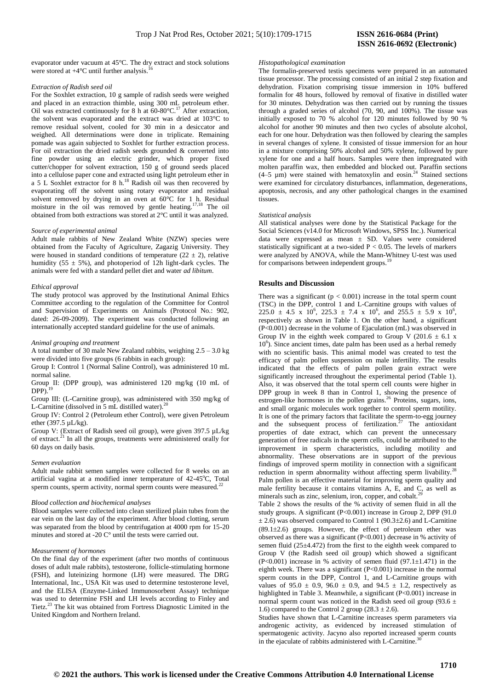evaporator under vacuum at 45°C. The dry extract and stock solutions were stored at  $+4^{\circ}$ C until further analysis.

#### *Extraction of Radish seed oil*

For the Soxhlet extraction, 10 g sample of radish seeds were weighed and placed in an extraction thimble, using 300 mL petroleum ether. Oil was extracted continuously for 8 h at  $60-80^{\circ}$ C.<sup>17</sup> After extraction, the solvent was evaporated and the extract was dried at 103°C to remove residual solvent, cooled for 30 min in a desiccator and weighed. All determinations were done in triplicate. Remaining pomade was again subjected to Soxhlet for further extraction process. For oil extraction the dried radish seeds grounded & converted into fine powder using an electric grinder, which proper fixed cutter/chopper for solvent extraction, 150 g of ground seeds placed into a cellulose paper cone and extracted using light petroleum ether in a 5 L Soxhlet extractor for 8 h.<sup>18</sup> Radish oil was then recovered by evaporating off the solvent using rotary evaporator and residual solvent removed by drying in an oven at 60°C for 1 h. Residual moisture in the oil was removed by gentle heating.<sup>17,18</sup> The oil obtained from both extractions was stored at 2°C until it was analyzed.

#### *Source of experimental animal*

Adult male rabbits of New Zealand White (NZW) species were obtained from the Faculty of Agriculture, Zagazig University. They were housed in standard conditions of temperature  $(22 \pm 2)$ , relative humidity (55  $\pm$  5%), and photoperiod of 12h light-dark cycles. The animals were fed with a standard pellet diet and water *ad libitum*.

#### *Ethical approval*

The study protocol was approved by the Institutional Animal Ethics Committee according to the regulation of the Committee for Control and Supervision of Experiments on Animals (Protocol No.: 902, dated: 26-09-2009). The experiment was conducted following an internationally accepted standard guideline for the use of animals.

#### *Animal grouping and treatment*

A total number of 30 male New Zealand rabbits, weighing 2.5 – 3.0 kg were divided into five groups (6 rabbits in each group):

Group I: Control 1 (Normal Saline Control), was administered 10 mL normal saline.

Group II: (DPP group), was administered 120 mg/kg (10 mL of  $DPP$ ).<sup>19</sup>

Group III: (L-Carnitine group), was administered with 350 mg/kg of L-Carnitine (dissolved in 5 mL distilled water).<sup>20</sup>

Group IV: Control 2 (Petroleum ether Control), were given Petroleum ether (397.5 µL/kg).

Group V: (Extract of Radish seed oil group), were given 397.5 µL/kg of extract.<sup>21</sup> In all the groups, treatments were administered orally for 60 days on daily basis.

### *Semen evaluation*

Adult male rabbit semen samples were collected for 8 weeks on an artificial vagina at a modified inner temperature of  $42-45^{\circ}$ C, Total sperm counts, sperm activity, normal sperm counts were measured.<sup>22</sup>

#### *Blood collection and biochemical analyses*

Blood samples were collected into clean sterilized plain tubes from the ear vein on the last day of the experiment. After blood clotting, serum was separated from the blood by centrifugation at 4000 rpm for 15-20 minutes and stored at -20 C° until the tests were carried out.

#### *Measurement of hormones*

On the final day of the experiment (after two months of continuous doses of adult male rabbits), testosterone, follicle-stimulating hormone (FSH), and luteinizing hormone (LH) were measured. The DRG International, Inc., USA Kit was used to determine testosterone level, and the ELISA (Enzyme-Linked Immunosorbent Assay) technique was used to determine FSH and LH levels according to Finley and Tietz.<sup>23</sup> The kit was obtained from Fortress Diagnostic Limited in the United Kingdom and Northern Ireland.

#### *Histopathological examination*

The formalin-preserved testis specimens were prepared in an automated tissue processor. The processing consisted of an initial 2 step fixation and dehydration. Fixation comprising tissue immersion in 10% buffered formalin for 48 hours, followed by removal of fixative in distilled water for 30 minutes. Dehydration was then carried out by running the tissues through a graded series of alcohol (70, 90, and 100%). The tissue was initially exposed to 70 % alcohol for 120 minutes followed by 90 % alcohol for another 90 minutes and then two cycles of absolute alcohol, each for one hour. Dehydration was then followed by clearing the samples in several changes of xylene. It consisted of tissue immersion for an hour in a mixture comprising 50% alcohol and 50% xylene, followed by pure xylene for one and a half hours. Samples were then impregnated with molten paraffin wax, then embedded and blocked out. Paraffin sections  $(4-5 \mu m)$  were stained with hematoxylin and eosin.<sup>24</sup> Stained sections were examined for circulatory disturbances, inflammation, degenerations, apoptosis, necrosis, and any other pathological changes in the examined tissues.

#### *Statistical analysis*

All statistical analyses were done by the Statistical Package for the Social Sciences (v14.0 for Microsoft Windows, SPSS Inc.). Numerical data were expressed as mean ± SD. Values were considered statistically significant at a two-sided  $P < 0.05$ . The levels of markers were analyzed by ANOVA, while the Mann-Whitney U-test was used for comparisons between independent groups.<sup>19</sup>

# **Results and Discussion**

There was a significant  $(p < 0.001)$  increase in the total sperm count (TSC) in the DPP, control 1 and L-Carnitine groups with values of  $225.0 \pm 4.5 \times 10^6$ ,  $225.3 \pm 7.4 \times 10^6$ , and  $255.5 \pm 5.9 \times 10^6$ , respectively as shown in Table 1. On the other hand, a significant (P<0.001) decrease in the volume of Ejaculation (mL) was observed in Group IV in the eighth week compared to Group V (201.6  $\pm$  6.1 x 10<sup>6</sup>). Since ancient times, date palm has been used as a herbal remedy with no scientific basis. This animal model was created to test the efficacy of palm pollen suspension on male infertility. The results indicated that the effects of palm pollen grain extract were significantly increased throughout the experimental period (Table 1). Also, it was observed that the total sperm cell counts were higher in DPP group in week 8 than in Control 1, showing the presence of estrogen-like hormones in the pollen grains.<sup>26</sup> Proteins, sugars, ions, and small organic molecules work together to control sperm motility. It is one of the primary factors that facilitate the sperm-to-egg journey and the subsequent process of fertilization.<sup>27</sup> The antioxidant properties of date extract, which can prevent the unnecessary generation of free radicals in the sperm cells, could be attributed to the improvement in sperm characteristics, including motility and abnormality. These observations are in support of the previous findings of improved sperm motility in connection with a significant reduction in sperm abnormality without affecting sperm livability. Palm pollen is an effective material for improving sperm quality and male fertility because it contains vitamins A, E, and C, as well as minerals such as zinc, selenium, iron, copper, and cobalt.<sup>2</sup>

Table 2 shows the results of the % activity of semen fluid in all the study groups. A significant (P<0.001) increase in Group 2, DPP (91.0  $\pm$  2.6) was observed compared to Control 1 (90.3 $\pm$ 2.6) and L-Carnitine  $(89.1\pm2.6)$  groups. However, the effect of petroleum ether was observed as there was a significant (P<0.001) decrease in % activity of semen fluid (25±4.472) from the first to the eighth week compared to Group V (the Radish seed oil group) which showed a significant (P<0.001) increase in % activity of semen fluid  $(97.1 \pm 1.471)$  in the eighth week. There was a significant (P<0.001) increase in the normal sperm counts in the DPP, Control 1, and L-Carnitine groups with values of  $95.0 \pm 0.9$ ,  $96.0 \pm 0.9$ , and  $94.5 \pm 1.2$ , respectively as highlighted in Table 3. Meanwhile, a significant (P<0.001) increase in normal sperm count was noticed in the Radish seed oil group (93.6  $\pm$ 1.6) compared to the Control 2 group  $(28.3 \pm 2.6)$ .

Studies have shown that L-Carnitine increases sperm parameters via androgenic activity, as evidenced by increased stimulation of spermatogenic activity. Jacyno also reported increased sperm counts in the ejaculate of rabbits administered with L-Carnitine.<sup>30</sup>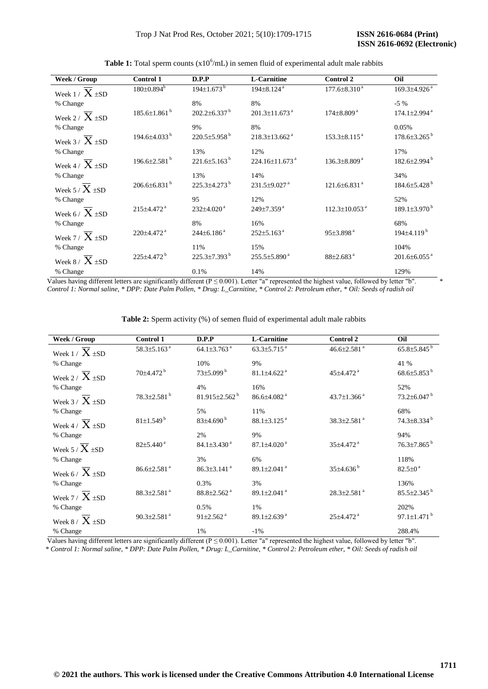| Week / Group                | <b>Control 1</b>               | D.P.P                          | <b>L-Carnitine</b>               | Control 2                       | Oil                            |
|-----------------------------|--------------------------------|--------------------------------|----------------------------------|---------------------------------|--------------------------------|
| Week $1 / X \pm SD$         | $180 \pm 0.894$                | $194 \pm 1.673$ <sup>b</sup>   | $194\pm8.124$ <sup>a</sup>       | $177.6 \pm 8.310^{\text{ a}}$   | $169.3 \pm 4.926$ <sup>a</sup> |
| % Change                    |                                | 8%                             | 8%                               |                                 | $-5\%$                         |
| Week 2 / $X \pm SD$         | $185.6 \pm 1.861$ <sup>b</sup> | $202.2 \pm 6.337$ <sup>b</sup> | 201.3±11.673 <sup>a</sup>        | $174\pm8.809$ <sup>a</sup>      | $174.1 \pm 2.994$ <sup>a</sup> |
| % Change                    |                                | 9%                             | 8%                               |                                 | 0.05%                          |
| Week 3 / $\overline{X}$ ±SD | 194.6±4.033 <sup>b</sup>       | 220.5±5.958 <sup>b</sup>       | $218.3 \pm 13.662$ <sup>a</sup>  | $153.3 \pm 8.115$ <sup>a</sup>  | $178.6 \pm 3.265$ <sup>b</sup> |
| % Change                    |                                | 13%                            | 12%                              |                                 | 17%                            |
| Week 4 / $\overline{X}$ ±SD | $196.6 \pm 2.581$ <sup>b</sup> | $221.6\pm5.163^{b}$            | $224.16 \pm 11.673$ <sup>a</sup> | $136.3\pm8.809^{\text{a}}$      | $182.6 \pm 2.994$ <sup>b</sup> |
| % Change                    |                                | 13%                            | 14%                              |                                 | 34%                            |
| Week 5 / $\overline{X}$ +SD | $206.6\pm6.831$ <sup>b</sup>   | 225.3±4.273 <sup>b</sup>       | $231.5 \pm 9.027$ <sup>a</sup>   | $121.6 \pm 6.831$ <sup>a</sup>  | $184.6{\pm}5.428$ <sup>b</sup> |
| % Change                    |                                | 95                             | 12%                              |                                 | 52%                            |
| Week 6 / $\overline{X}$ ±SD | 215±4.472 <sup>a</sup>         | $232\pm4.020$ <sup>a</sup>     | 249±7.359 <sup>a</sup>           | $112.3 \pm 10.053$ <sup>a</sup> | $189.1 \pm 3.970^{\mathrm{b}}$ |
| % Change                    |                                | 8%                             | 16%                              |                                 | 68%                            |
| Week 7 / $X \pm SD$         | $220\pm4.472$ <sup>a</sup>     | $244\pm6.186$ <sup>a</sup>     | $252 \pm 5.163$ <sup>a</sup>     | 95±3.898 <sup>a</sup>           | 194±4.119 <sup>b</sup>         |
| % Change                    |                                | 11%                            | 15%                              |                                 | 104%                           |
| Week 8 / $\overline{X}$ ±SD | 225±4.472 <sup>b</sup>         | $225.3\pm7.393^{\mathrm{b}}$   | $255.5\pm5.890^{\text{ a}}$      | $88\pm2.683$ <sup>a</sup>       | $201.6 \pm 6.055$ <sup>a</sup> |
| % Change                    |                                | 0.1%                           | 14%                              |                                 | 129%                           |

**Table 1:** Total sperm counts  $(x10^6/m)$  in semen fluid of experimental adult male rabbits

Values having different letters are significantly different ( $P \le 0.001$ ). Letter "a" represented the highest value, followed by letter "b".  *Control 1: Normal saline, \* DPP: Date Palm Pollen, \* Drug: L\_Carnitine, \* Control 2: Petroleum ether, \* Oil: Seeds of radish oil* 

| Week / Group                 | Control 1                     | D.P.P                           | <b>L-Carnitine</b>            | Control 2                     | Oil                           |
|------------------------------|-------------------------------|---------------------------------|-------------------------------|-------------------------------|-------------------------------|
| Week $1 / X \pm SD$          | 58.3±5.163 <sup>a</sup>       | 64.1 $\pm$ 3.763 <sup>a</sup>   | 63.3 $\pm$ 5.715 $^{\rm a}$   | 46.6 $\pm$ 2.581 $^{\rm a}$   | $65.8{\pm}5.845^{b}$          |
| % Change                     |                               | 10%                             | 9%                            |                               | 41 %                          |
| Week 2 / $\overline{X}$ ±SD  | 70±4.472 <sup>b</sup>         | $73{\pm}5.099^{\text{ b}}$      | $81.1\pm4.622$ <sup>a</sup>   | 45±4.472 <sup>a</sup>         | $68.6{\pm}5.853^{b}$          |
| % Change                     |                               | 4%                              | 16%                           |                               | 52%                           |
| Week $3 / X + SD$            | $78.3 \pm 2.581$ <sup>b</sup> | 81.915 $\pm$ 2.562 <sup>b</sup> | $86.6{\pm}4.082$ <sup>a</sup> | 43.7 $\pm$ 1.366 $a$          | $73.2 \pm 6.047$ <sup>b</sup> |
| % Change                     |                               | 5%                              | 11%                           |                               | 68%                           |
| Week 4 / $\overline{X}$ + SD | 81±1.549 <sup>b</sup>         | $83\pm4.690^{\mathrm{b}}$       | $88.1 \pm 3.125$ <sup>a</sup> | 38.3±2.581 <sup>a</sup>       | $74.3 \pm 8.334$ <sup>b</sup> |
| % Change                     |                               | 2%                              | 9%                            |                               | 94%                           |
| Week 5 / $X$ ±SD             | $82{\pm}5.440^{\,a}$          | $84.1 \pm 3.430$ <sup>a</sup>   | $87.1 \pm 4.020$ <sup>a</sup> | 35±4.472 <sup>a</sup>         | 76.3±7.865 <sup>b</sup>       |
| % Change                     |                               | 3%                              | 6%                            |                               | 118%                          |
| Week 6 / $\overline{X}$ ±SD  | $86.6 \pm 2.581$ <sup>a</sup> | $86.3 \pm 3.141$ <sup>a</sup>   | 89.1 $\pm$ 2.041 $^{\rm a}$   | $35\pm4.636^{\mathrm{b}}$     | $82.5 \pm 0^{\text{a}}$       |
| % Change                     |                               | 0.3%                            | 3%                            |                               | 136%                          |
| Week 7 / $X \pm SD$          | $88.3 \pm 2.581$ <sup>a</sup> | $88.8 \pm 2.562$ <sup>a</sup>   | 89.1 $\pm$ 2.041 $^{\circ}$   | $28.3 \pm 2.581$ <sup>a</sup> | $85.5 \pm 2.345$ <sup>b</sup> |
| % Change                     |                               | 0.5%                            | 1%                            |                               | 202%                          |
| Week 8 / $\overline{X}$ ±SD  | 90.3 $\pm$ 2.581 $^{\circ}$   | $91 \pm 2.562$ <sup>a</sup>     | 89.1 $\pm$ 2.639 <sup>a</sup> | 25±4.472 <sup>a</sup>         | 97.1 $\pm$ 1.471 $^{\rm b}$   |
| % Change                     |                               | 1%                              | $-1\%$                        |                               | 288.4%                        |

Table 2: Sperm activity (%) of semen fluid of experimental adult male rabbits

Values having different letters are significantly different ( $P \le 0.001$ ). Letter "a" represented the highest value, followed by letter "b".

 *\* Control 1: Normal saline, \* DPP: Date Palm Pollen, \* Drug: L\_Carnitine, \* Control 2: Petroleum ether, \* Oil: Seeds of radish oil*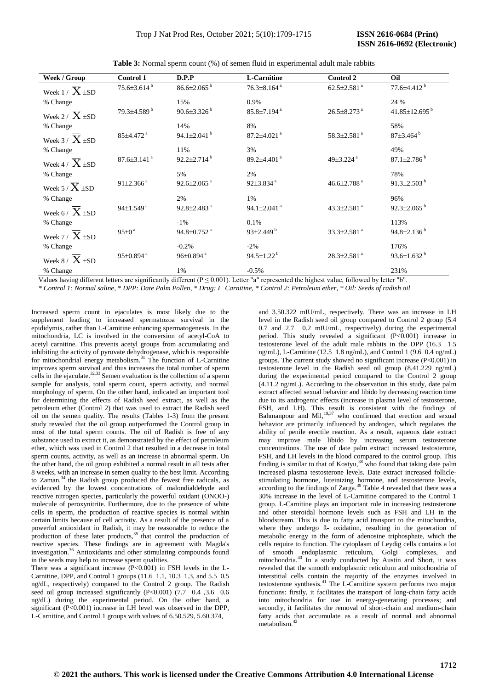**Table 3:** Normal sperm count (%) of semen fluid in experimental adult male rabbits

| Week / Group                | <b>Control 1</b>              | D.P.P                         | <b>L-Carnitine</b>            | Control 2                     | Oil                             |
|-----------------------------|-------------------------------|-------------------------------|-------------------------------|-------------------------------|---------------------------------|
| Week $1 / X \pm SD$         | $75.6 \pm 3.614^{\mathrm{b}}$ | $86.6 \pm 2.065$ <sup>b</sup> | $76.3 \pm 8.164$ <sup>a</sup> | $62.5 \pm 2.581$ <sup>a</sup> | $77.6 \pm 4.412$ <sup>b</sup>   |
| % Change                    |                               | 15%                           | 0.9%                          |                               | 24 %                            |
| Week 2 / $\overline{X}$ ±SD | 79.3±4.589 <sup>b</sup>       | $90.6 \pm 3.326^{\mathrm{b}}$ | $85.8 \pm 7.194$ <sup>a</sup> | $26.5 \pm 8.273$ <sup>a</sup> | $41.85 \pm 12.695$ <sup>b</sup> |
| % Change                    |                               | 14%                           | 8%                            |                               | 58%                             |
| Week 3 / $X \pm SD$         | 85±4.472 <sup>a</sup>         | 94.1 $\pm$ 2.041 $^{\rm b}$   | $87.2 \pm 4.021$ <sup>a</sup> | $58.3 \pm 2.581$ <sup>a</sup> | 87±3.464 <sup>b</sup>           |
| % Change                    |                               | 11%                           | 3%                            |                               | 49%                             |
| Week 4 / $\overline{X}$ ±SD | $87.6 \pm 3.141$ <sup>a</sup> | $92.2 \pm 2.714^b$            | 89.2 $\pm$ 4.401 $^{\circ}$   | 49 $\pm$ 3.224 $a$            | $87.1 \pm 2.786^{\mathrm{b}}$   |
| % Change                    |                               | 5%                            | 2%                            |                               | 78%                             |
| Week 5 / $X \pm SD$         | $91 \pm 2.366$ <sup>a</sup>   | $92.6 \pm 2.065$ <sup>a</sup> | $92\pm3.834$ <sup>a</sup>     | 46.6 $\pm$ 2.788 <sup>a</sup> | 91.3 $\pm$ 2.503 $^{\rm b}$     |
| % Change                    |                               | 2%                            | 1%                            |                               | 96%                             |
| Week 6 / $\overline{X}$ ±SD | $94\pm1.549$ <sup>a</sup>     | $92.8 \pm 2.483$ <sup>a</sup> | 94.1 $\pm$ 2.041 $^{\rm a}$   | 43.3±2.581 <sup>a</sup>       | $92.3 \pm 2.065^{\mathrm{b}}$   |
| % Change                    |                               | $-1\%$                        | 0.1%                          |                               | 113%                            |
| Week 7 / $\overline{X}$ ±SD | $95\pm0$ <sup>a</sup>         | $94.8 \pm 0.752$ <sup>a</sup> | $93\pm2.449^{\mathrm{b}}$     | $33.3 \pm 2.581$ <sup>a</sup> | $94.8 \pm 2.136^{\mathrm{b}}$   |
| % Change                    |                               | $-0.2%$                       | $-2\%$                        |                               | 176%                            |
| Week 8 / $X \pm SD$         | $95 \pm 0.894$ <sup>a</sup>   | $96 \pm 0.894$ <sup>a</sup>   | 94.5 $\pm$ 1.22 $^{\rm b}$    | $28.3 \pm 2.581$ <sup>a</sup> | $93.6 \pm 1.632$ <sup>b</sup>   |
| % Change                    |                               | 1%                            | $-0.5%$                       |                               | 231%                            |

Values having different letters are significantly different ( $P \le 0.001$ ). Letter "a" represented the highest value, followed by letter "b".

 *\* Control 1: Normal saline, \* DPP: Date Palm Pollen, \* Drug: L\_Carnitine, \* Control 2: Petroleum ether, \* Oil: Seeds of radish oil* 

Increased sperm count in ejaculates is most likely due to the supplement leading to increased spermatozoa survival in the epididymis, rather than L-Carnitine enhancing spermatogenesis. In the mitochondria, LC is involved in the conversion of acetyl-CoA to acetyl carnitine. This prevents acetyl groups from accumulating and inhibiting the activity of pyruvate dehydrogenase, which is responsible for mitochondrial energy metabolism.<sup>31</sup> The function of L-Carnitine improves sperm survival and thus increases the total number of sperm cells in the ejaculate.<sup>32,33</sup> Semen evaluation is the collection of a sperm sample for analysis, total sperm count, sperm activity, and normal morphology of sperm. On the other hand, indicated an important tool for determining the effects of Radish seed extract, as well as the petroleum ether (Control 2) that was used to extract the Radish seed oil on the semen quality. The results (Tables 1-3) from the present study revealed that the oil group outperformed the Control group in most of the total sperm counts. The oil of Radish is free of any substance used to extract it, as demonstrated by the effect of petroleum ether, which was used in Control 2 that resulted in a decrease in total sperm counts, activity, as well as an increase in abnormal sperm. On the other hand, the oil group exhibited a normal result in all tests after 8 weeks, with an increase in semen quality to the best limit. According to Zaman,  $34$  the Radish group produced the fewest free radicals, as evidenced by the lowest concentrations of malondialdehyde and reactive nitrogen species, particularly the powerful oxidant (ONOO-) molecule of peroxynitrite. Furthermore, due to the presence of white cells in sperm, the production of reactive species is normal within certain limits because of cell activity. As a result of the presence of a powerful antioxidant in Radish, it may be reasonable to reduce the production of these later products,  $35$  that control the production of reactive species. These findings are in agreement with Magda's investigation.<sup>36</sup> Antioxidants and other stimulating compounds found in the seeds may help to increase sperm qualities.

There was a significant increase  $(P< 0.001)$  in FSH levels in the L-Carnitine, DPP, and Control 1 groups (11.6 1.1, 10.3 1.3, and 5.5 0.5 ng/dL, respectively) compared to the Control 2 group. The Radish seed oil group increased significantly (P<0.001) (7.7 0.4 ,3.6 0.6 ng/dL) during the experimental period. On the other hand, a significant (P<0.001) increase in LH level was observed in the DPP, L-Carnitine, and Control 1 groups with values of 6.50.529, 5.60.374,

and 3.50.322 mIU/mL, respectively. There was an increase in LH level in the Radish seed oil group compared to Control 2 group (5.4 0.7 and 2.7 0.2 mIU/mL, respectively) during the experimental period. This study revealed a significant (P<0.001) increase in testosterone level of the adult male rabbits in the DPP (16.3 1.5 ng/mL), L-Carnitine (12.5 1.8 ng/mL), and Control 1 (9.6 0.4 ng/mL) groups. The current study showed no significant increase (P<0.001) in testosterone level in the Radish seed oil group (8.41.229 ng/mL) during the experimental period compared to the Control 2 group (4.11.2 ng/mL). According to the observation in this study, date palm extract affected sexual behavior and libido by decreasing reaction time due to its androgenic effects (increase in plasma level of testosterone, FSH, and LH). This result is consistent with the findings of Bahmanpour and Mil, $19,37$  who confirmed that erection and sexual behavior are primarily influenced by androgen, which regulates the ability of penile erectile reaction. As a result, aqueous date extract may improve male libido by increasing serum testosterone concentrations. The use of date palm extract increased testosterone, FSH, and LH levels in the blood compared to the control group. This finding is similar to that of Kostyu,  $38$  who found that taking date palm increased plasma testosterone levels. Date extract increased folliclestimulating hormone, luteinizing hormone, and testosterone levels, according to the findings of Zarga.<sup>39</sup> Table 4 revealed that there was a 30% increase in the level of L-Carnitine compared to the Control 1 group. L-Carnitine plays an important role in increasing testosterone and other steroidal hormone levels such as FSH and LH in the bloodstream. This is due to fatty acid transport to the mitochondria, where they undergo  $\beta$ - oxidation, resulting in the generation of metabolic energy in the form of adenosine triphosphate, which the cells require to function. The cytoplasm of Leydig cells contains a lot of smooth endoplasmic reticulum, Golgi complexes, and mitochondria.<sup>40</sup> In a study conducted by Austin and Short, it was revealed that the smooth endoplasmic reticulum and mitochondria of interstitial cells contain the majority of the enzymes involved in testosterone synthesis.<sup>41</sup> The L-Carnitine system performs two major functions: firstly, it facilitates the transport of long-chain fatty acids into mitochondria for use in energy-generating processes; and secondly, it facilitates the removal of short-chain and medium-chain fatty acids that accumulate as a result of normal and abnormal metabolism.<sup>42</sup>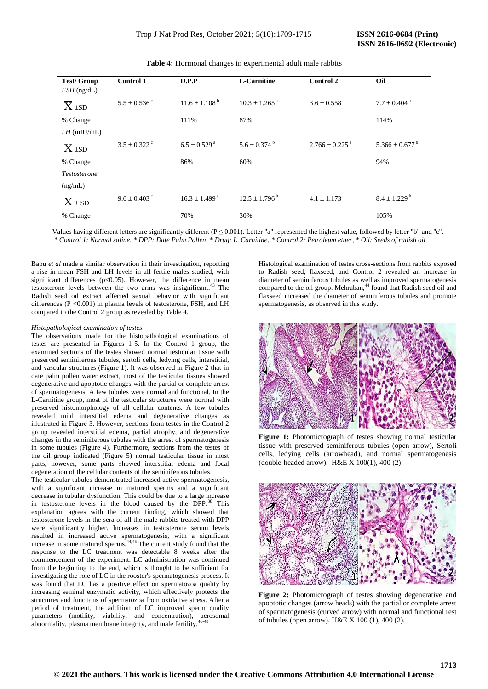| <b>Test/Group</b>   | <b>Control 1</b>             | D.P.P                         | <b>L-Carnitine</b>            | <b>Control 2</b>               | Oil                            |
|---------------------|------------------------------|-------------------------------|-------------------------------|--------------------------------|--------------------------------|
| $FSH$ (ng/dL)       |                              |                               |                               |                                |                                |
| $\overline{X}$ ±SD  | $5.5 \pm 0.536$ <sup>c</sup> | $11.6 \pm 1.108^{\mathrm{b}}$ | $10.3 \pm 1.265$ <sup>a</sup> | $3.6 \pm 0.558$ <sup>a</sup>   | $7.7 \pm 0.404$ <sup>a</sup>   |
| % Change            |                              | 111%                          | 87%                           |                                | 114%                           |
| $LH$ (mIU/mL)       |                              |                               |                               |                                |                                |
| $\overline{X}$ ±SD  | $3.5 \pm 0.322$ <sup>c</sup> | $6.5 \pm 0.529$ <sup>a</sup>  | $5.6 \pm 0.374^{\mathrm{b}}$  | $2.766 \pm 0.225$ <sup>a</sup> | $5.366 \pm 0.677$ <sup>b</sup> |
| % Change            |                              | 86%                           | 60%                           |                                | 94%                            |
| <i>Testosterone</i> |                              |                               |                               |                                |                                |
| (ng/mL)             |                              |                               |                               |                                |                                |
| $\overline{X}$ ± SD | $9.6 \pm 0.403$ c            | $16.3 \pm 1.499^{\text{a}}$   | $12.5 \pm 1.796^{\mathrm{b}}$ | $4.1 \pm 1.173$ <sup>a</sup>   | $8.4 \pm 1.229$ <sup>b</sup>   |
| % Change            |                              | 70%                           | 30%                           |                                | 105%                           |

**Table 4:** Hormonal changes in experimental adult male rabbits

Values having different letters are significantly different ( $P \le 0.001$ ). Letter "a" represented the highest value, followed by letter "b" and "c".  *\* Control 1: Normal saline, \* DPP: Date Palm Pollen, \* Drug: L\_Carnitine, \* Control 2: Petroleum ether, \* Oil: Seeds of radish oil* 

Babu *et al* made a similar observation in their investigation, reporting a rise in mean FSH and LH levels in all fertile males studied, with significant differences ( $p<0.05$ ). However, the difference in mean testosterone levels between the two arms was insignificant.<sup>43</sup> The Radish seed oil extract affected sexual behavior with significant differences (P <0.001) in plasma levels of testosterone, FSH, and LH compared to the Control 2 group as revealed by Table 4.

#### *Histopathological examination of testes*

The observations made for the histopathological examinations of testes are presented in Figures 1-5. In the Control 1 group, the examined sections of the testes showed normal testicular tissue with preserved seminiferous tubules, sertoli cells, ledying cells, interstitial, and vascular structures (Figure 1). It was observed in Figure 2 that in date palm pollen water extract, most of the testicular tissues showed degenerative and apoptotic changes with the partial or complete arrest of spermatogenesis. A few tubules were normal and functional. In the L-Carnitine group, most of the testicular structures were normal with preserved histomorphology of all cellular contents. A few tubules revealed mild interstitial edema and degenerative changes as illustrated in Figure 3. However, sections from testes in the Control 2 group revealed interstitial edema, partial atrophy, and degenerative changes in the seminiferous tubules with the arrest of spermatogenesis in some tubules (Figure 4). Furthermore, sections from the testes of the oil group indicated (Figure 5) normal testicular tissue in most parts, however, some parts showed interstitial edema and focal degeneration of the cellular contents of the seminiferous tubules.

The testicular tubules demonstrated increased active spermatogenesis, with a significant increase in matured sperms and a significant decrease in tubular dysfunction. This could be due to a large increase in testosterone levels in the blood caused by the DPP.<sup>38</sup> This explanation agrees with the current finding, which showed that testosterone levels in the sera of all the male rabbits treated with DPP were significantly higher. Increases in testosterone serum levels resulted in increased active spermatogenesis, with a significant increase in some matured sperms.<sup>44,45</sup> The current study found that the response to the LC treatment was detectable 8 weeks after the commencement of the experiment. LC administration was continued from the beginning to the end, which is thought to be sufficient for investigating the role of LC in the rooster's spermatogenesis process. It was found that LC has a positive effect on spermatozoa quality by increasing seminal enzymatic activity, which effectively protects the structures and functions of spermatozoa from oxidative stress. After a period of treatment, the addition of LC improved sperm quality parameters (motility, viability, and concentration), acrosomal abnormality, plasma membrane integrity, and male fertility

Histological examination of testes cross-sections from rabbits exposed to Radish seed, flaxseed, and Control 2 revealed an increase in diameter of seminiferous tubules as well as improved spermatogenesis compared to the oil group. Mehraban,<sup>44</sup> found that Radish seed oil and flaxseed increased the diameter of seminiferous tubules and promote spermatogenesis, as observed in this study.



**Figure 1:** Photomicrograph of testes showing normal testicular tissue with preserved seminiferous tubules (open arrow), Sertoli cells, ledying cells (arrowhead), and normal spermatogenesis (double-headed arrow). H&E X 100(1), 400 (2)



**Figure 2:** Photomicrograph of testes showing degenerative and apoptotic changes (arrow heads) with the partial or complete arrest of spermatogenesis (curved arrow) with normal and functional rest of tubules (open arrow). H&E X 100 (1), 400 (2).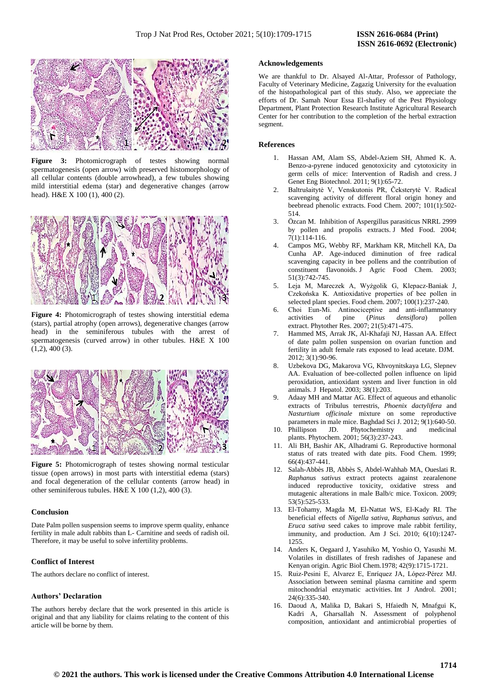

**Figure 3:** Photomicrograph of testes showing normal spermatogenesis (open arrow) with preserved histomorphology of all cellular contents (double arrowhead), a few tubules showing mild interstitial edema (star) and degenerative changes (arrow head). H&E X 100 (1), 400 (2).



**Figure 4:** Photomicrograph of testes showing interstitial edema (stars), partial atrophy (open arrows), degenerative changes (arrow head) in the seminiferous tubules with the arrest of spermatogenesis (curved arrow) in other tubules. H&E X 100  $(1,2)$ , 400  $(3)$ .



**Figure 5:** Photomicrograph of testes showing normal testicular tissue (open arrows) in most parts with interstitial edema (stars) and focal degeneration of the cellular contents (arrow head) in other seminiferous tubules. H&E X 100 (1,2), 400 (3).

#### **Conclusion**

Date Palm pollen suspension seems to improve sperm quality, enhance fertility in male adult rabbits than L- Carnitine and seeds of radish oil. Therefore, it may be useful to solve infertility problems.

# **Conflict of Interest**

The authors declare no conflict of interest.

# **Authors' Declaration**

The authors hereby declare that the work presented in this article is original and that any liability for claims relating to the content of this article will be borne by them.

#### **Acknowledgements**

We are thankful to Dr. Alsayed Al-Attar, Professor of Pathology, Faculty of Veterinary Medicine, Zagazig University for the evaluation of the histopathological part of this study. Also, we appreciate the efforts of Dr. Samah Nour Essa El-shafiey of the Pest Physiology Department, Plant Protection Research Institute Agricultural Research Center for her contribution to the completion of the herbal extraction segment.

#### **References**

- 1. Hassan AM, Alam SS, Abdel-Aziem SH, Ahmed K. A. Benzo-a-pyrene induced genotoxicity and cytotoxicity in germ cells of mice: Intervention of Radish and cress. J Genet Eng Biotechnol. 2011; 9(1):65-72.
- 2. Baltrušaitytė V, Venskutonis PR, Čeksterytė V. Radical scavenging activity of different floral origin honey and beebread phenolic extracts. Food Chem. 2007; 101(1):502- 514.
- 3. Özcan M. Inhibition of Aspergillus parasiticus NRRL 2999 by pollen and propolis extracts. J Med Food. 2004; 7(1):114-116.
- 4. Campos MG, Webby RF, Markham KR, Mitchell KA, Da Cunha AP. Age-induced diminution of free radical scavenging capacity in bee pollens and the contribution of constituent flavonoids. J Agric Food Chem. 2003; 51(3):742-745.
- 5. Leja M, Mareczek A, Wyżgolik G, Klepacz-Baniak J, Czekońska K. Antioxidative properties of bee pollen in selected plant species. Food chem. 2007; 100(1):237-240.
- 6. Choi Eun‐Mi. Antinociceptive and anti-inflammatory activities of pine (*Pinus densiflora*) pollen extract. Phytother Res. 2007; 21(5):471-475.
- 7. Hammed MS, Arrak JK, Al-Khafaji NJ, Hassan AA. Effect of date palm pollen suspension on ovarian function and fertility in adult female rats exposed to lead acetate. DJM. 2012; 3(1):90-96.
- 8. Uzbekova DG, Makarova VG, Khvoynitskaya LG, Slepnev AA. Evaluation of bee-collected pollen influence on lipid peroxidation, antioxidant system and liver function in old animals. J Hepatol. 2003; 38(1):203.
- 9. Adaay MH and Mattar AG. Effect of aqueous and ethanolic extracts of Tribulus terrestris, *Phoenix dactylifera* and *Nasturtium officinale* mixture on some reproductive parameters in male mice. Baghdad Sci J. 2012; 9(1):640-50.
- 10. Phillipson JD. Phytochemistry and medicinal plants. Phytochem. 2001; 56(3):237-243.
- 11. Ali BH, Bashir AK, Alhadrami G. Reproductive hormonal status of rats treated with date pits. Food Chem. 1999; 66(4):437-441.
- 12. Salah-Abbès JB, Abbès S, Abdel-Wahhab MA, Oueslati R. *Raphanus sativus* extract protects against zearalenone induced reproductive toxicity, oxidative stress and mutagenic alterations in male Balb/c mice. Toxicon. 2009; 53(5):525-533.
- 13. El-Tohamy, Magda M, El-Nattat WS, El-Kady RI. The beneficial effects of *Nigella sativa*, *Raphanus sativus*, and *Eruca sativa* seed cakes to improve male rabbit fertility, immunity, and production. Am J Sci. 2010; 6(10):1247- 1255.
- 14. Anders K, Oegaard J, Yasuhiko M, Yoshio O, Yasushi M. Volatiles in distillates of fresh radishes of Japanese and Kenyan origin. Agric Biol Chem.1978; 42(9):1715-1721.
- 15. Ruiz‐Pesini E, Alvarez E, Enríquez JA, López‐Pérez MJ. Association between seminal plasma carnitine and sperm mitochondrial enzymatic activities. Int J Androl. 2001;  $24(6) \cdot 335 - 340$
- 16. Daoud A, Malika D, Bakari S, Hfaiedh N, Mnafgui K, Kadri A, Gharsallah N. Assessment of polyphenol composition, antioxidant and antimicrobial properties of